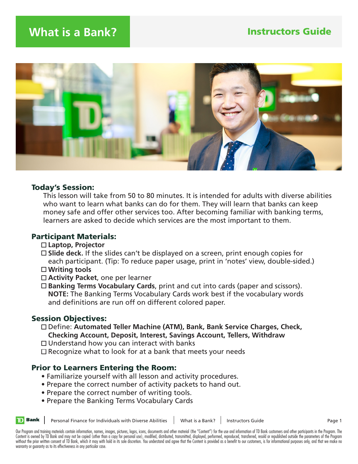

## Today's Session:

 This lesson will take from 50 to 80 minutes. It is intended for adults with diverse abilities who want to learn what banks can do for them. They will learn that banks can keep money safe and offer other services too. After becoming familiar with banking terms, learners are asked to decide which services are the most important to them.

## Participant Materials:

- **Laptop, Projector**
- **Slide deck.** If the slides can't be displayed on a screen, print enough copies for each participant. (Tip: To reduce paper usage, print in 'notes' view, double-sided.)
- **Writing tools**
- **Activity Packet**, one per learner
- **Banking Terms Vocabulary Cards**, print and cut into cards (paper and scissors). **NOTE:** The Banking Terms Vocabulary Cards work best if the vocabulary words and definitions are run off on different colored paper.

## Session Objectives:

 Define: **Automated Teller Machine (ATM), Bank, Bank Service Charges, Check, Checking Account, Deposit, Interest, Savings Account, Tellers, Withdraw**

- $\Box$  Understand how you can interact with banks
- $\Box$  Recognize what to look for at a bank that meets your needs

## Prior to Learners Entering the Room:

- Familiarize yourself with all lesson and activity procedures.
- Prepare the correct number of activity packets to hand out.
- Prepare the correct number of writing tools.
- Prepare the Banking Terms Vocabulary Cards



Personal Finance for Individuals with Diverse Abilities | What is a Bank? | Instructors Guide | Page 1

Our Program and training materials contain information, names, images, pictures, logos, icons, documents and other material (the "Content") for the use and information of TD Bank customers and other participants in the Pro Content is owned by TD Bank and may not be copied (other than a copy for personal use), modified, distributed, transmitted, displayed, performed, reproduced, transferred, resold or republished outside the parameters of the without the prior written consent of TD Bank, which it may with hold in its sole discretion. You understand and agree that the Content is provided as a benefit to our customers, is for informational purposes only, and that warranty or guaranty as to its effectiveness in any particular case.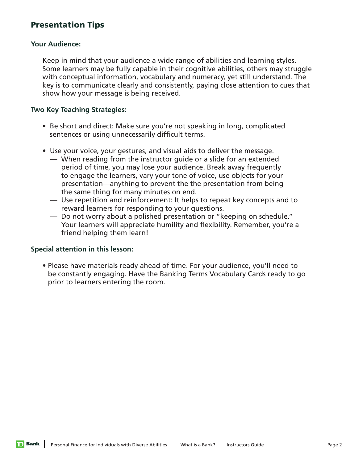## Presentation Tips

### **Your Audience:**

 Keep in mind that your audience a wide range of abilities and learning styles. Some learners may be fully capable in their cognitive abilities, others may struggle with conceptual information, vocabulary and numeracy, yet still understand. The key is to communicate clearly and consistently, paying close attention to cues that show how your message is being received.

#### **Two Key Teaching Strategies:**

- Be short and direct: Make sure you're not speaking in long, complicated sentences or using unnecessarily difficult terms.
- Use your voice, your gestures, and visual aids to deliver the message.
	- When reading from the instructor guide or a slide for an extended period of time, you may lose your audience. Break away frequently to engage the learners, vary your tone of voice, use objects for your presentation—anything to prevent the the presentation from being the same thing for many minutes on end.
	- Use repetition and reinforcement: It helps to repeat key concepts and to reward learners for responding to your questions.
	- Do not worry about a polished presentation or "keeping on schedule." Your learners will appreciate humility and flexibility. Remember, you're a friend helping them learn!

#### **Special attention in this lesson:**

**D** Bank

 • Please have materials ready ahead of time. For your audience, you'll need to be constantly engaging. Have the Banking Terms Vocabulary Cards ready to go prior to learners entering the room.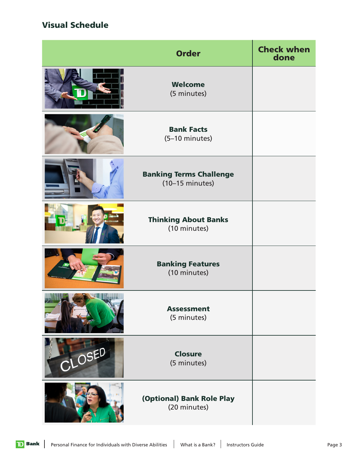# Visual Schedule

|                               | <b>Order</b>                                                | <b>Check when</b><br>done |
|-------------------------------|-------------------------------------------------------------|---------------------------|
|                               | Welcome<br>(5 minutes)                                      |                           |
|                               | <b>Bank Facts</b><br>(5-10 minutes)                         |                           |
|                               | <b>Banking Terms Challenge</b><br>$(10-15 \text{ minutes})$ |                           |
|                               | <b>Thinking About Banks</b><br>(10 minutes)                 |                           |
|                               | <b>Banking Features</b><br>(10 minutes)                     |                           |
| <b>Contract Contract Only</b> | <b>Assessment</b><br>(5 minutes)                            |                           |
| CLOSED                        | <b>Closure</b><br>(5 minutes)                               |                           |
|                               | (Optional) Bank Role Play<br>(20 minutes)                   |                           |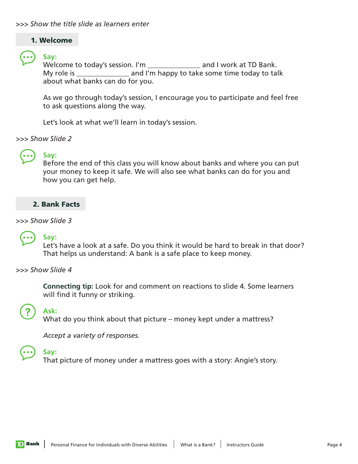## 1. Welcome

 **Say:** Welcome to today's session. I'm \_\_\_\_\_\_\_\_\_\_\_\_\_\_\_\_\_ and I work at TD Bank. My role is \_\_\_\_\_\_\_\_\_\_\_\_\_\_\_\_\_\_ and I'm happy to take some time today to talk about what banks can do for you.

As we go through today's session, I encourage you to participate and feel free to ask questions along the way.

Let's look at what we'll learn in today's session.

*>>> Show Slide 2* 



# **Say:**

Before the end of this class you will know about banks and where you can put your money to keep it safe. We will also see what banks can do for you and how you can get help.

## 2. Bank Facts

*>>> Show Slide 3*



## **Say:**

Let's have a look at a safe. Do you think it would be hard to break in that door? That helps us understand: A bank is a safe place to keep money.

## *>>> Show Slide 4*

**Ask:**

 **Connecting tip:** Look for and comment on reactions to slide 4. Some learners will find it funny or striking.



What do you think about that picture – money kept under a mattress?

*Accept a variety of responses.*

## **Say:**

That picture of money under a mattress goes with a story: Angie's story.

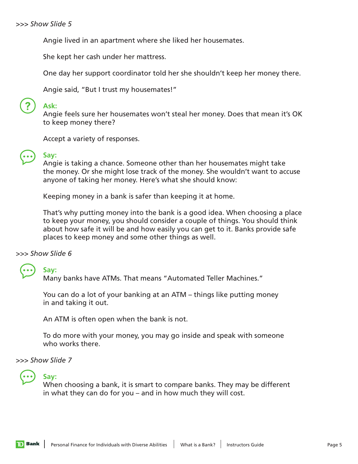Angie lived in an apartment where she liked her housemates.

She kept her cash under her mattress.

One day her support coordinator told her she shouldn't keep her money there.

Angie said, "But I trust my housemates!"



## **Ask:**

Angie feels sure her housemates won't steal her money. Does that mean it's OK to keep money there?

Accept a variety of responses.



# **Say:**

Angie is taking a chance. Someone other than her housemates might take the money. Or she might lose track of the money. She wouldn't want to accuse anyone of taking her money. Here's what she should know:

Keeping money in a bank is safer than keeping it at home.

That's why putting money into the bank is a good idea. When choosing a place to keep your money, you should consider a couple of things. You should think about how safe it will be and how easily you can get to it. Banks provide safe places to keep money and some other things as well.

*>>> Show Slide 6*

**Say:**

Many banks have ATMs. That means "Automated Teller Machines."

You can do a lot of your banking at an ATM – things like putting money in and taking it out.

An ATM is often open when the bank is not.

To do more with your money, you may go inside and speak with someone who works there.

*>>> Show Slide 7*

# **Say:**

When choosing a bank, it is smart to compare banks. They may be different in what they can do for you – and in how much they will cost.

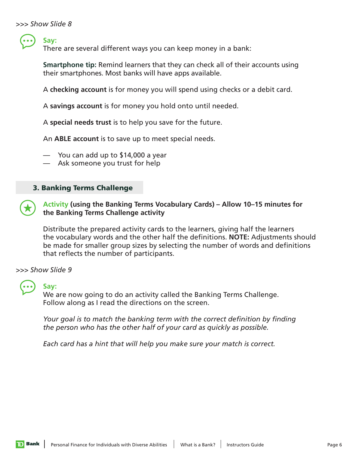**Say:**

There are several different ways you can keep money in a bank:

**Smartphone tip:** Remind learners that they can check all of their accounts using their smartphones. Most banks will have apps available.

A **checking account** is for money you will spend using checks or a debit card.

A **savings account** is for money you hold onto until needed.

A **special needs trust** is to help you save for the future.

An **ABLE account** is to save up to meet special needs.

— You can add up to \$14,000 a year

— Ask someone you trust for help

## 3. Banking Terms Challenge

 **Activity (using the Banking Terms Vocabulary Cards) – Allow 10–15 minutes for the Banking Terms Challenge activity** 

Distribute the prepared activity cards to the learners, giving half the learners the vocabulary words and the other half the definitions. **NOTE:** Adjustments should be made for smaller group sizes by selecting the number of words and definitions that reflects the number of participants.

*>>> Show Slide 9*



#### **Say:**

We are now going to do an activity called the Banking Terms Challenge. Follow along as I read the directions on the screen.

*Your goal is to match the banking term with the correct definition by finding the person who has the other half of your card as quickly as possible.* 

*Each card has a hint that will help you make sure your match is correct.*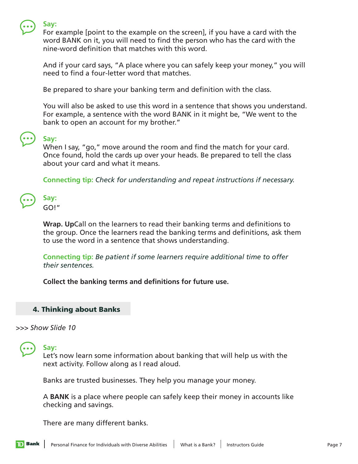

#### **Say:**

For example [point to the example on the screen], if you have a card with the word BANK on it, you will need to find the person who has the card with the nine-word definition that matches with this word.

And if your card says, "A place where you can safely keep your money," you will need to find a four-letter word that matches.

Be prepared to share your banking term and definition with the class.

You will also be asked to use this word in a sentence that shows you understand. For example, a sentence with the word BANK in it might be, "We went to the bank to open an account for my brother."

## **Say:**

When I say, "go," move around the room and find the match for your card. Once found, hold the cards up over your heads. Be prepared to tell the class about your card and what it means.

**Connecting tip:** *Check for understanding and repeat instructions if necessary.*

| تزه     |  |
|---------|--|
| $GO!$ " |  |

**Wrap. Up**Call on the learners to read their banking terms and definitions to the group. Once the learners read the banking terms and definitions, ask them to use the word in a sentence that shows understanding.

**Connecting tip:** *Be patient if some learners require additional time to offer their sentences.*

 **Collect the banking terms and definitions for future use.** 

## 4. Thinking about Banks

*>>> Show Slide 10*

**Say:**

Let's now learn some information about banking that will help us with the next activity. Follow along as I read aloud.

Banks are trusted businesses. They help you manage your money.

A **BANK** is a place where people can safely keep their money in accounts like checking and savings.

There are many different banks.

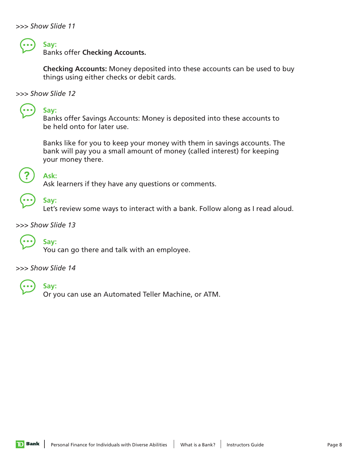

## **Say:**

Banks offer **Checking Accounts.**

**Checking Accounts:** Money deposited into these accounts can be used to buy things using either checks or debit cards.

*>>> Show Slide 12*

**Say:**

Banks offer Savings Accounts: Money is deposited into these accounts to be held onto for later use.

Banks like for you to keep your money with them in savings accounts. The bank will pay you a small amount of money (called interest) for keeping your money there.



 **Ask:** Ask learners if they have any questions or comments.



 **Say:** Let's review some ways to interact with a bank. Follow along as I read aloud.

*>>> Show Slide 13*



 **Say:** You can go there and talk with an employee.

*>>> Show Slide 14*



## **Say:**

Or you can use an Automated Teller Machine, or ATM.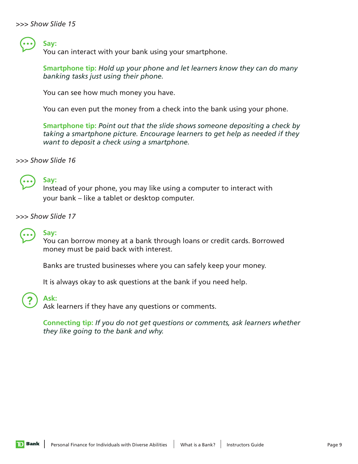**Say:**

You can interact with your bank using your smartphone.

**Smartphone tip:** *Hold up your phone and let learners know they can do many banking tasks just using their phone.*

You can see how much money you have.

You can even put the money from a check into the bank using your phone.

**Smartphone tip:** *Point out that the slide shows someone depositing a check by taking a smartphone picture. Encourage learners to get help as needed if they want to deposit a check using a smartphone.*

*>>> Show Slide 16*



## **Say:**

Instead of your phone, you may like using a computer to interact with your bank – like a tablet or desktop computer.

*>>> Show Slide 17*



### **Say:**

You can borrow money at a bank through loans or credit cards. Borrowed money must be paid back with interest.

Banks are trusted businesses where you can safely keep your money.

It is always okay to ask questions at the bank if you need help.

## **Ask:**

Ask learners if they have any questions or comments.

**Connecting tip:** *If you do not get questions or comments, ask learners whether they like going to the bank and why.*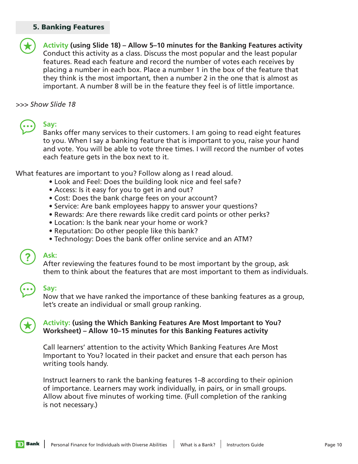### 5. Banking Features



 **Activity (using Slide 18) – Allow 5–10 minutes for the Banking Features activity** Conduct this activity as a class. Discuss the most popular and the least popular features. Read each feature and record the number of votes each receives by placing a number in each box. Place a number 1 in the box of the feature that they think is the most important, then a number 2 in the one that is almost as important. A number 8 will be in the feature they feel is of little importance.

*>>> Show Slide 18*

**Say:**

Banks offer many services to their customers. I am going to read eight features to you. When I say a banking feature that is important to you, raise your hand and vote. You will be able to vote three times. I will record the number of votes each feature gets in the box next to it.

What features are important to you? Follow along as I read aloud.

- Look and Feel: Does the building look nice and feel safe?
- Access: Is it easy for you to get in and out?
- Cost: Does the bank charge fees on your account?
- Service: Are bank employees happy to answer your questions?
- Rewards: Are there rewards like credit card points or other perks?
- Location: Is the bank near your home or work?
- Reputation: Do other people like this bank?
- Technology: Does the bank offer online service and an ATM?

## **Ask:**

After reviewing the features found to be most important by the group, ask them to think about the features that are most important to them as individuals.

## **Say:**

Now that we have ranked the importance of these banking features as a group, let's create an individual or small group ranking.

## **Activity: (using the Which Banking Features Are Most Important to You? Worksheet) – Allow 10–15 minutes for this Banking Features activity**

Call learners' attention to the activity Which Banking Features Are Most Important to You? located in their packet and ensure that each person has writing tools handy.

Instruct learners to rank the banking features 1–8 according to their opinion of importance. Learners may work individually, in pairs, or in small groups. Allow about five minutes of working time. (Full completion of the ranking is not necessary.)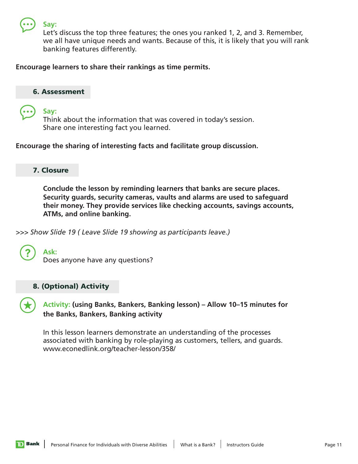

**Say:**

Let's discuss the top three features; the ones you ranked 1, 2, and 3. Remember, we all have unique needs and wants. Because of this, it is likely that you will rank banking features differently.

## **Encourage learners to share their rankings as time permits.**

## 6. Assessment

 **Say:** Think about the information that was covered in today's session. Share one interesting fact you learned.

**Encourage the sharing of interesting facts and facilitate group discussion.** 

## 7. Closure

 **Conclude the lesson by reminding learners that banks are secure places. Security guards, security cameras, vaults and alarms are used to safeguard their money. They provide services like checking accounts, savings accounts, ATMs, and online banking.** 

*>>> Show Slide 19 ( Leave Slide 19 showing as participants leave.)*



 **Ask:** Does anyone have any questions?

## 8. (Optional) Activity

 **Activity: (using Banks, Bankers, Banking lesson) – Allow 10–15 minutes for the Banks, Bankers, Banking activity**

In this lesson learners demonstrate an understanding of the processes associated with banking by role-playing as customers, tellers, and guards. www.econedlink.org/teacher-lesson/358/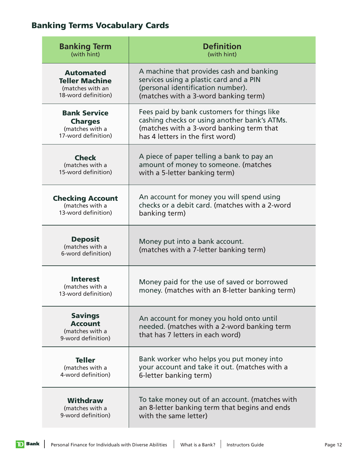# Banking Terms Vocabulary Cards

| <b>Banking Term</b><br>(with hint)                                                   | <b>Definition</b><br>(with hint)                                                                                                                                            |  |
|--------------------------------------------------------------------------------------|-----------------------------------------------------------------------------------------------------------------------------------------------------------------------------|--|
| <b>Automated</b><br><b>Teller Machine</b><br>(matches with an<br>18-word definition) | A machine that provides cash and banking<br>services using a plastic card and a PIN<br>(personal identification number).<br>(matches with a 3-word banking term)            |  |
| <b>Bank Service</b><br><b>Charges</b><br>(matches with a<br>17-word definition)      | Fees paid by bank customers for things like<br>cashing checks or using another bank's ATMs.<br>(matches with a 3-word banking term that<br>has 4 letters in the first word) |  |
| <b>Check</b><br>(matches with a<br>15-word definition)                               | A piece of paper telling a bank to pay an<br>amount of money to someone. (matches<br>with a 5-letter banking term)                                                          |  |
| <b>Checking Account</b><br>(matches with a<br>13-word definition)                    | An account for money you will spend using<br>checks or a debit card. (matches with a 2-word<br>banking term)                                                                |  |
| <b>Deposit</b><br>(matches with a<br>6-word definition)                              | Money put into a bank account.<br>(matches with a 7-letter banking term)                                                                                                    |  |
| <b>Interest</b><br>(matches with a<br>13-word definition)                            | Money paid for the use of saved or borrowed<br>money. (matches with an 8-letter banking term)                                                                               |  |
| <b>Savings</b><br><b>Account</b><br>(matches with a<br>9-word definition)            | An account for money you hold onto until<br>needed. (matches with a 2-word banking term<br>that has 7 letters in each word)                                                 |  |
| <b>Teller</b><br>(matches with a<br>4-word definition)                               | Bank worker who helps you put money into<br>your account and take it out. (matches with a<br>6-letter banking term)                                                         |  |
| <b>Withdraw</b><br>(matches with a<br>9-word definition)                             | To take money out of an account. (matches with<br>an 8-letter banking term that begins and ends<br>with the same letter)                                                    |  |